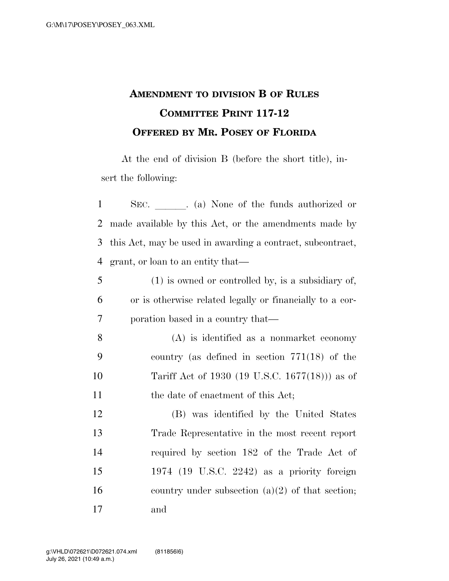## **AMENDMENT TO DIVISION B OF RULES COMMITTEE PRINT 117-12 OFFERED BY MR. POSEY OF FLORIDA**

At the end of division B (before the short title), insert the following:

| $\mathbf{1}$   | SEC. (a) None of the funds authorized or                   |  |                                                      |  |  |  |  |
|----------------|------------------------------------------------------------|--|------------------------------------------------------|--|--|--|--|
| $\overline{2}$ | made available by this Act, or the amendments made by      |  |                                                      |  |  |  |  |
| 3              | this Act, may be used in awarding a contract, subcontract, |  |                                                      |  |  |  |  |
| $\overline{4}$ | grant, or loan to an entity that—                          |  |                                                      |  |  |  |  |
| 5              |                                                            |  | $(1)$ is owned or controlled by, is a subsidiary of, |  |  |  |  |
| 6              | or is otherwise related legally or financially to a cor-   |  |                                                      |  |  |  |  |
| 7              | poration based in a country that—                          |  |                                                      |  |  |  |  |
| 8              |                                                            |  | $(A)$ is identified as a nonmarket economy           |  |  |  |  |
| 9              |                                                            |  | country (as defined in section $771(18)$ of the      |  |  |  |  |
| 10             |                                                            |  | Tariff Act of 1930 (19 U.S.C. 1677(18))) as of       |  |  |  |  |
| 11             |                                                            |  | the date of enactment of this Act;                   |  |  |  |  |
| 12             |                                                            |  | (B) was identified by the United States              |  |  |  |  |
| 13             |                                                            |  | Trade Representative in the most recent report       |  |  |  |  |
| 14             |                                                            |  | required by section 182 of the Trade Act of          |  |  |  |  |
| 15             |                                                            |  | 1974 (19 U.S.C. 2242) as a priority foreign          |  |  |  |  |
| 16             |                                                            |  | country under subsection $(a)(2)$ of that section;   |  |  |  |  |
| 17             | and                                                        |  |                                                      |  |  |  |  |